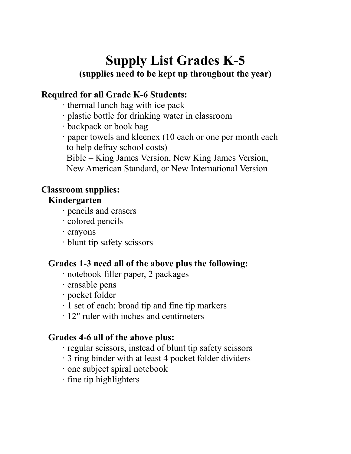# **Supply List Grades K-5**

#### **(supplies need to be kept up throughout the year)**

### **Required for all Grade K-6 Students:**

- · thermal lunch bag with ice pack
- · plastic bottle for drinking water in classroom
- · backpack or book bag
- · paper towels and kleenex (10 each or one per month each to help defray school costs)
	- Bible King James Version, New King James Version,
	- New American Standard, or New International Version

#### **Classroom supplies:**

#### **Kindergarten**

- · pencils and erasers
- · colored pencils
- · crayons
- · blunt tip safety scissors

#### **Grades 1-3 need all of the above plus the following:**

- · notebook filler paper, 2 packages
- · erasable pens
- · pocket folder
- · 1 set of each: broad tip and fine tip markers
- · 12" ruler with inches and centimeters

#### **Grades 4-6 all of the above plus:**

- · regular scissors, instead of blunt tip safety scissors
- · 3 ring binder with at least 4 pocket folder dividers
- · one subject spiral notebook
- · fine tip highlighters